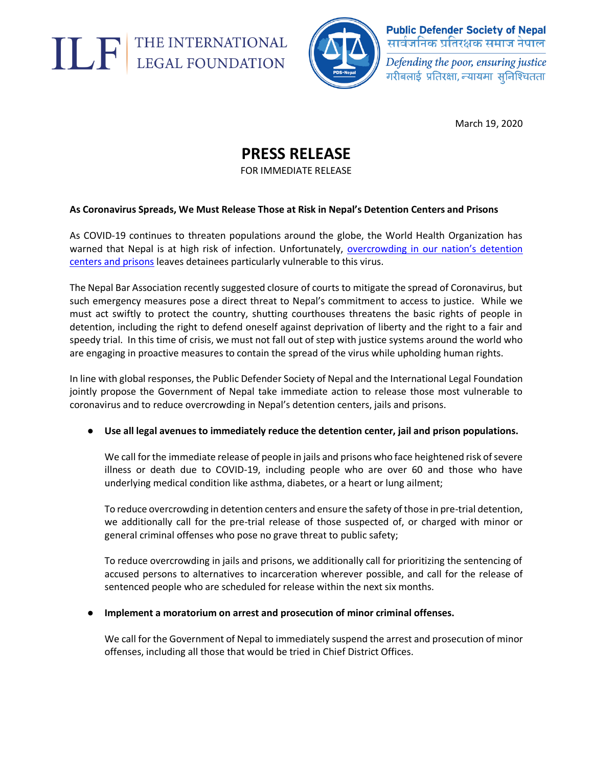



**Public Defender Society of Nepal** सार्वजनिक प्रतिरक्षक समाज नेपाल

Defending the poor, ensuring justice गरीबलाई प्रतिरक्षा, न्यायमा स्निश्चितता

March 19, 2020

## **PRESS RELEASE**

FOR IMMEDIATE RELEASE

### **As Coronavirus Spreads, We Must Release Those at Risk in Nepal's Detention Centers and Prisons**

As COVID-19 continues to threaten populations around the globe, the World Health Organization has warned that Nepal is at high risk of infection. Unfortunately, [overcrowding in our nation's de](https://english.khabarhub.com/2020/16/82343/)tention [centers and prisons](https://english.khabarhub.com/2020/16/82343/) leaves detainees particularly vulnerable to this virus.

The Nepal Bar Association recently suggested closure of courts to mitigate the spread of Coronavirus, but such emergency measures pose a direct threat to Nepal's commitment to access to justice. While we must act swiftly to protect the country, shutting courthouses threatens the basic rights of people in detention, including the right to defend oneself against deprivation of liberty and the right to a fair and speedy trial. In this time of crisis, we must not fall out of step with justice systems around the world who are engaging in proactive measures to contain the spread of the virus while upholding human rights.

In line with global responses, the Public Defender Society of Nepal and the International Legal Foundation jointly propose the Government of Nepal take immediate action to release those most vulnerable to coronavirus and to reduce overcrowding in Nepal's detention centers, jails and prisons.

### ● **Use all legal avenues to immediately reduce the detention center, jail and prison populations.**

We call for the immediate release of people in jails and prisons who face heightened risk of severe illness or death due to COVID-19, including people who are over 60 and those who have underlying medical condition like asthma, diabetes, or a heart or lung ailment;

To reduce overcrowding in detention centers and ensure the safety of those in pre-trial detention, we additionally call for the pre-trial release of those suspected of, or charged with minor or general criminal offenses who pose no grave threat to public safety;

To reduce overcrowding in jails and prisons, we additionally call for prioritizing the sentencing of accused persons to alternatives to incarceration wherever possible, and call for the release of sentenced people who are scheduled for release within the next six months.

#### ● **Implement a moratorium on arrest and prosecution of minor criminal offenses.**

We call for the Government of Nepal to immediately suspend the arrest and prosecution of minor offenses, including all those that would be tried in Chief District Offices.